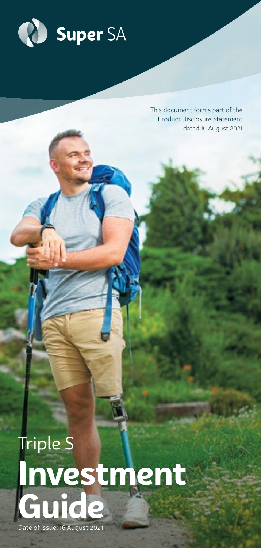

This document forms part of the Product Disclosure Statement dated 16 August 2021

# Triple S **Investment Guide**

Date of issue: 16 August 2021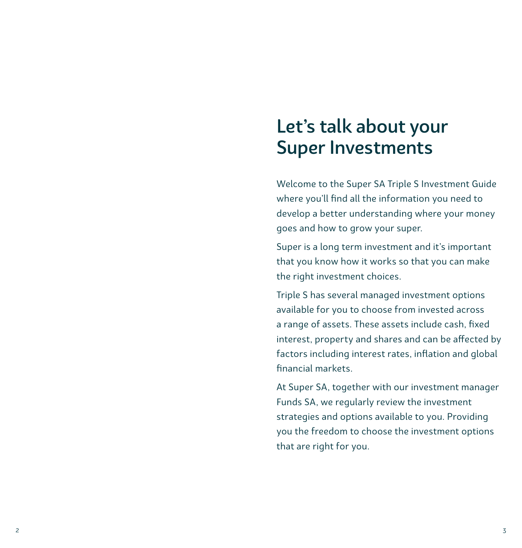# Let's talk about your Super Investments

Welcome to the Super SA Triple S Investment Guide where you'll find all the information you need to develop a better understanding where your money goes and how to grow your super.

Super is a long term investment and it's important that you know how it works so that you can make the right investment choices.

Triple S has several managed investment options available for you to choose from invested across a range of assets. These assets include cash, fixed interest, property and shares and can be affected by factors including interest rates, inflation and global financial markets.

At Super SA, together with our investment manager Funds SA, we regularly review the investment strategies and options available to you. Providing you the freedom to choose the investment options that are right for you.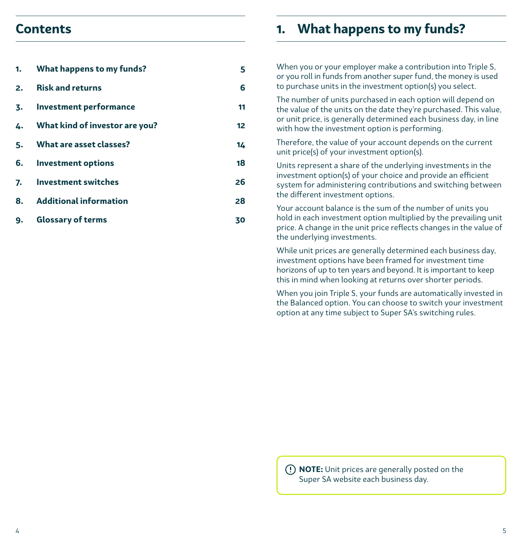### **Contents**

| 1. | What happens to my funds?      | 5  |
|----|--------------------------------|----|
| 2. | <b>Risk and returns</b>        | 6  |
| 3. | Investment performance         | 11 |
| 4. | What kind of investor are you? | 12 |
|    | 5. What are asset classes?     | 14 |
|    | 6. Investment options          | 18 |
|    | 7. Investment switches         | 26 |
| 8. | <b>Additional information</b>  | 28 |
| 9. | <b>Glossary of terms</b>       | 30 |

### **1. What happens to my funds?**

When you or your employer make a contribution into Triple S, or you roll in funds from another super fund, the money is used to purchase units in the investment option(s) you select.

The number of units purchased in each option will depend on the value of the units on the date they're purchased. This value, or unit price, is generally determined each business day, in line with how the investment option is performing.

Therefore, the value of your account depends on the current unit price(s) of your investment option(s).

Units represent a share of the underlying investments in the investment option(s) of your choice and provide an efficient system for administering contributions and switching between the different investment options.

Your account balance is the sum of the number of units you hold in each investment option multiplied by the prevailing unit price. A change in the unit price reflects changes in the value of the underlying investments.

While unit prices are generally determined each business day, investment options have been framed for investment time horizons of up to ten years and beyond. It is important to keep this in mind when looking at returns over shorter periods.

When you join Triple S, your funds are automatically invested in the Balanced option. You can choose to switch your investment option at any time subject to Super SA's switching rules.

 **NOTE:** Unit prices are generally posted on the Super SA website each business day.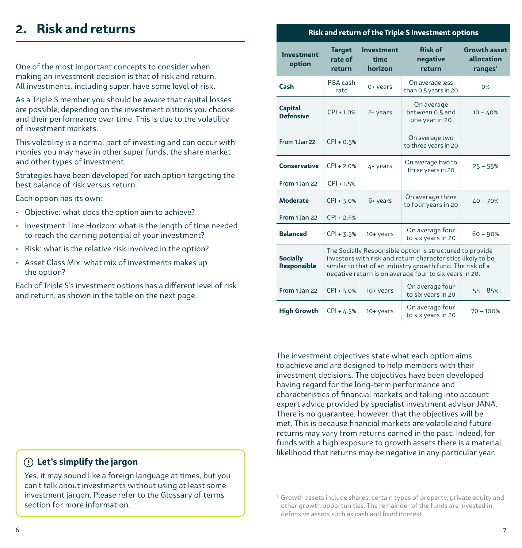### <span id="page-3-0"></span>**2. Risk and returns**

One of the most important concepts to consider when making an investment decision is that of risk and return. All investments, including super, have some level of risk.

As a Triple S member you should be aware that capital losses are possible, depending on the investment options you choose and their performance over time. This is due to the volatility of investment markets.

This volatility is a normal part of investing and can occur with monies you may have in other super funds, the share market and other types of investment.

Strategies have been developed for each option targeting the best balance of risk versus return.

Each option has its own:

- Objective: what does the option aim to achieve?
- Investment Time Horizon: what is the length of time needed to reach the earning potential of your investment?
- Risk: what is the relative risk involved in the option?
- Asset Class Mix: what mix of investments makes up the option?

Each of Triple S's investment options has a different level of risk and return, as shown in the table on the next page.

### **Risk and return of the Triple S investment options**

| <b>Investment</b><br>option        | <b>Target</b><br>rate of<br>return                                                                                                                                                                                                             | <b>Investment</b><br>time<br>horizon | <b>Risk of</b><br>negative<br>return            | <b>Growth asset</b><br>allocation<br>ranges <sup>1</sup> |
|------------------------------------|------------------------------------------------------------------------------------------------------------------------------------------------------------------------------------------------------------------------------------------------|--------------------------------------|-------------------------------------------------|----------------------------------------------------------|
| Cash                               | RBA cash<br>rate                                                                                                                                                                                                                               | 0+ years                             | On average less<br>than 0.5 years in 20         | 0%                                                       |
| <b>Capital</b><br><b>Defensive</b> | $CPI + 1.0%$                                                                                                                                                                                                                                   | 2+ years                             | On average<br>between 0.5 and<br>one year in 20 | $10 - 40%$                                               |
| From 1 Jan 22                      | $CPI + 0.5%$                                                                                                                                                                                                                                   |                                      | On average two<br>to three years in 20          |                                                          |
| <b>Conservative</b>                | $CPI + 2.0%$                                                                                                                                                                                                                                   | 4+ years                             | On average two to<br>three years in 20          | $25 - 55%$                                               |
| From 1 Jan 22                      | $CPI + 1.5%$                                                                                                                                                                                                                                   |                                      |                                                 |                                                          |
| <b>Moderate</b>                    | $CPI + 3.0%$                                                                                                                                                                                                                                   | 6+ years                             | On average three<br>to four years in 20         | $40 - 70%$                                               |
| From 1 Jan 22                      | $CPI + 2.5%$                                                                                                                                                                                                                                   |                                      |                                                 |                                                          |
| <b>Balanced</b>                    | $CPI + 3.5%$                                                                                                                                                                                                                                   | $10 + \gamma$ ears                   | On average four<br>to six years in 20           | $60 - 90%$                                               |
| <b>Socially</b><br>Responsible     | The Socially Responsible option is structured to provide<br>investors with risk and return characteristics likely to be<br>similar to that of an industry growth fund. The risk of a<br>negative return is on average four to six years in 20. |                                      |                                                 |                                                          |
| From 1 Jan 22                      | $CPI + 3.0%$                                                                                                                                                                                                                                   | $10 + \gamma$ ears                   | On average four<br>to six years in 20           | $55 - 85%$                                               |
| <b>High Growth</b>                 | $CPI + 4.5%$                                                                                                                                                                                                                                   | $10 + \gamma$ ears                   | On average four<br>to six years in 20           | $70 - 100%$                                              |

The investment objectives state what each option aims to achieve and are designed to help members with their investment decisions. The objectives have been developed having regard for the long-term performance and characteristics of financial markets and taking into account expert advice provided by specialist investment advisor JANA. There is no guarantee, however, that the objectives will be met. This is because financial markets are volatile and future returns may vary from returns earned in the past. Indeed, for funds with a high exposure to growth assets there is a material likelihood that returns may be negative in any particular year.

### **Let's simplify the jargon**

Yes, it may sound like a foreign language at times, but you can't talk about investments without using at least some investment jargon. Please refer to the Glossary of terms section for more information.

<sup>1</sup> Growth assets include shares, certain types of property, private equity and other growth opportunities. The remainder of the funds are invested in defensive assets such as cash and fixed interest.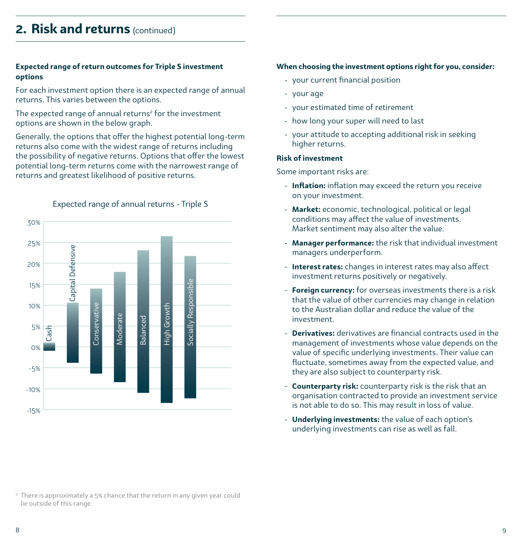# **2. Risk and returns** (continued)

#### **Expected range of return outcomes for Triple S investment options**

For each investment option there is an expected range of annual returns. This varies between the options.

The expected range of annual returns $^{\rm 2}$  for the investment options are shown in the below graph.

Generally, the options that offer the highest potential long-term returns also come with the widest range of returns including the possibility of negative returns. Options that offer the lowest potential long-term returns come with the narrowest range of returns and greatest likelihood of positive returns.



Expected range of annual returns - Triple S

#### **When choosing the investment options right for you, consider:**

- your current financial position
- your age
- your estimated time of retirement
- how long your super will need to last
- your attitude to accepting additional risk in seeking higher returns.

#### **Risk of investment**

Some important risks are:

- **Inflation:** inflation may exceed the return you receive on your investment.
- **Market:** economic, technological, political or legal conditions may affect the value of investments. Market sentiment may also alter the value.
- **Manager performance:** the risk that individual investment managers underperform.
- **Interest rates:** changes in interest rates may also affect investment returns positively or negatively.
- **Foreign currency:** for overseas investments there is a risk that the value of other currencies may change in relation to the Australian dollar and reduce the value of the investment.
- **Derivatives:** derivatives are financial contracts used in the management of investments whose value depends on the value of specific underlying investments. Their value can fluctuate, sometimes away from the expected value, and they are also subject to counterparty risk.
- **Counterparty risk:** counterparty risk is the risk that an organisation contracted to provide an investment service is not able to do so. This may result in loss of value.
- **Underlying investments:** the value of each option's underlying investments can rise as well as fall.

<sup>2</sup> There is approximately a 5% chance that the return in any given year could lie outside of this range.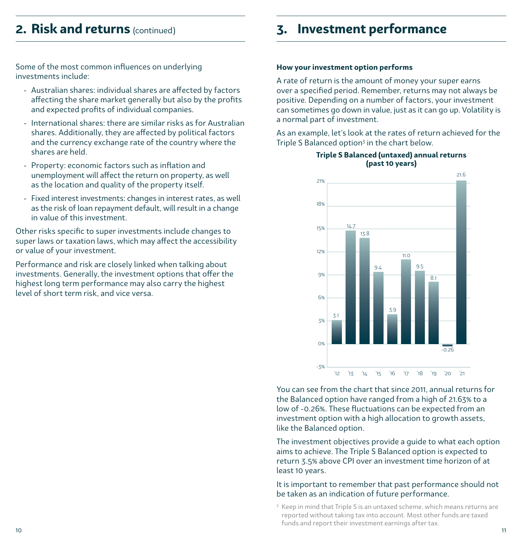### <span id="page-5-0"></span>**2. Risk and returns** (continued)

Some of the most common influences on underlying investments include:

- Australian shares: individual shares are affected by factors affecting the share market generally but also by the profits and expected profits of individual companies.
- International shares: there are similar risks as for Australian shares. Additionally, they are affected by political factors and the currency exchange rate of the country where the shares are held.
- Property: economic factors such as inflation and unemployment will affect the return on property, as well as the location and quality of the property itself.
- Fixed interest investments: changes in interest rates, as well as the risk of loan repayment default, will result in a change in value of this investment.

Other risks specific to super investments include changes to super laws or taxation laws, which may affect the accessibility or value of your investment.

Performance and risk are closely linked when talking about investments. Generally, the investment options that offer the highest long term performance may also carry the highest level of short term risk, and vice versa.

### **3. Investment performance**

#### **How your investment option performs**

A rate of return is the amount of money your super earns over a specified period. Remember, returns may not always be positive. Depending on a number of factors, your investment can sometimes go down in value, just as it can go up. Volatility is a normal part of investment.

As an example, let's look at the rates of return achieved for the Triple S Balanced option<sup>3</sup> in the chart below.



#### **Triple S Balanced (untaxed) annual returns (past 10 years)**

You can see from the chart that since 2011, annual returns for the Balanced option have ranged from a high of 21.63% to a low of -0.26%. These fluctuations can be expected from an investment option with a high allocation to growth assets, like the Balanced option.

The investment objectives provide a guide to what each option aims to achieve. The Triple S Balanced option is expected to return 3.5% above CPI over an investment time horizon of at least 10 years.

#### It is important to remember that past performance should not be taken as an indication of future performance.

10 and the contract of the contract of the contract of the contract of the contract of the contract of the contract of the contract of the contract of the contract of the contract of the contract of the contract of the con 3 Keep in mind that Triple S is an untaxed scheme, which means returns are reported without taking tax into account. Most other funds are taxed funds and report their investment earnings after tax.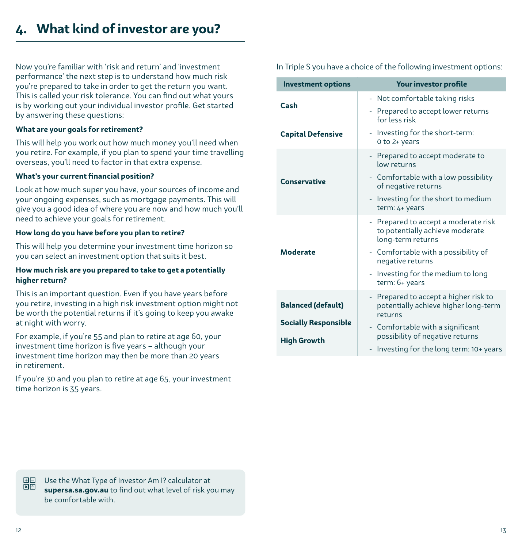### <span id="page-6-0"></span>**4. What kind of investor are you?**

Now you're familiar with 'risk and return' and 'investment performance' the next step is to understand how much risk you're prepared to take in order to get the return you want. This is called your risk tolerance. You can find out what yours is by working out your individual investor profile. Get started by answering these questions:

#### **What are your goals for retirement?**

This will help you work out how much money you'll need when you retire. For example, if you plan to spend your time travelling overseas, you'll need to factor in that extra expense.

#### **What's your current financial position?**

Look at how much super you have, your sources of income and your ongoing expenses, such as mortgage payments. This will give you a good idea of where you are now and how much you'll need to achieve your goals for retirement.

#### **How long do you have before you plan to retire?**

This will help you determine your investment time horizon so you can select an investment option that suits it best.

#### **How much risk are you prepared to take to get a potentially higher return?**

This is an important question. Even if you have years before you retire, investing in a high risk investment option might not be worth the potential returns if it's going to keep you awake at night with worry.

For example, if you're 55 and plan to retire at age 60, your investment time horizon is five years – although your investment time horizon may then be more than 20 years in retirement.

If you're 30 and you plan to retire at age 65, your investment time horizon is 35 years.

In Triple S you have a choice of the following investment options:

| <b>Investment options</b>                         | <b>Your investor profile</b>                                                                 |
|---------------------------------------------------|----------------------------------------------------------------------------------------------|
| Cash                                              | - Not comfortable taking risks                                                               |
|                                                   | - Prepared to accept lower returns<br>for less risk                                          |
| <b>Capital Defensive</b>                          | - Investing for the short-term:<br>0 to 2+ years                                             |
|                                                   | - Prepared to accept moderate to<br>low returns                                              |
| <b>Conservative</b>                               | - Comfortable with a low possibility<br>of negative returns                                  |
|                                                   | - Investing for the short to medium<br>term: 4+ years                                        |
|                                                   | - Prepared to accept a moderate risk<br>to potentially achieve moderate<br>long-term returns |
| <b>Moderate</b>                                   | - Comfortable with a possibility of<br>negative returns                                      |
|                                                   | - Investing for the medium to long<br>term: 6+ years                                         |
| <b>Balanced (default)</b>                         | Prepared to accept a higher risk to<br>÷,<br>potentially achieve higher long-term            |
|                                                   | returns                                                                                      |
| <b>Socially Responsible</b><br><b>High Growth</b> | - Comfortable with a significant<br>possibility of negative returns                          |
|                                                   | Investing for the long term: 10+ years                                                       |



 Use the What Type of Investor Am I? calculator at **supersa.sa.gov.au** to find out what level of risk you may be comfortable with.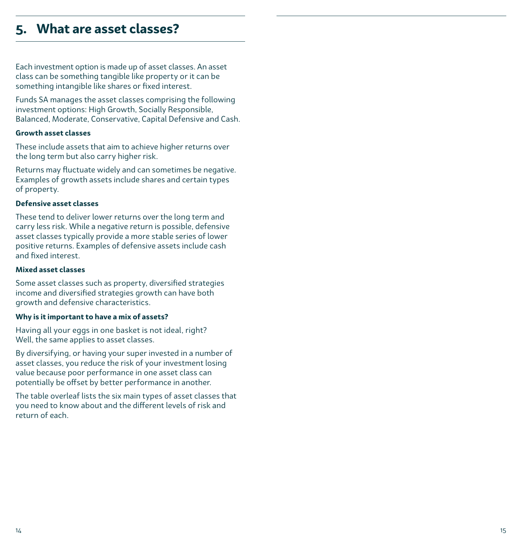### <span id="page-7-0"></span>**5. What are asset classes?**

Each investment option is made up of asset classes. An asset class can be something tangible like property or it can be something intangible like shares or fixed interest.

Funds SA manages the asset classes comprising the following investment options: High Growth, Socially Responsible, Balanced, Moderate, Conservative, Capital Defensive and Cash.

#### **Growth asset classes**

These include assets that aim to achieve higher returns over the long term but also carry higher risk.

Returns may fluctuate widely and can sometimes be negative. Examples of growth assets include shares and certain types of property.

#### **Defensive asset classes**

These tend to deliver lower returns over the long term and carry less risk. While a negative return is possible, defensive asset classes typically provide a more stable series of lower positive returns. Examples of defensive assets include cash and fixed interest.

#### **Mixed asset classes**

Some asset classes such as property, diversified strategies income and diversified strategies growth can have both growth and defensive characteristics.

#### **Why is it important to have a mix of assets?**

Having all your eggs in one basket is not ideal, right? Well, the same applies to asset classes.

By diversifying, or having your super invested in a number of asset classes, you reduce the risk of your investment losing value because poor performance in one asset class can potentially be offset by better performance in another.

The table overleaf lists the six main types of asset classes that you need to know about and the different levels of risk and return of each.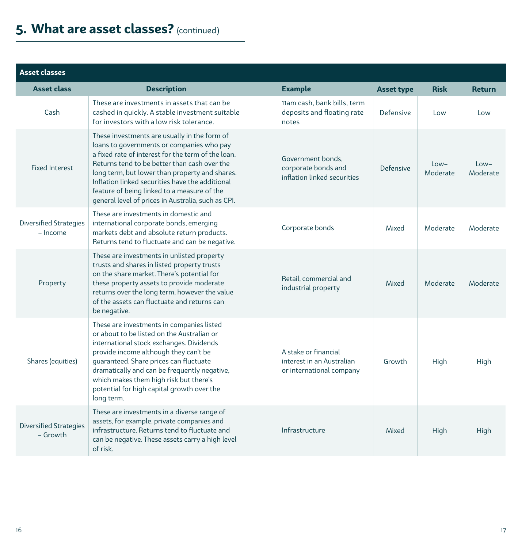# **5. What are asset classes?** (continued)

| <b>Asset classes</b>                      |                                                                                                                                                                                                                                                                                                                                                                                                           |                                                                               |                   |                    |                    |
|-------------------------------------------|-----------------------------------------------------------------------------------------------------------------------------------------------------------------------------------------------------------------------------------------------------------------------------------------------------------------------------------------------------------------------------------------------------------|-------------------------------------------------------------------------------|-------------------|--------------------|--------------------|
| <b>Asset class</b>                        | <b>Description</b>                                                                                                                                                                                                                                                                                                                                                                                        | <b>Example</b>                                                                | <b>Asset type</b> | <b>Risk</b>        | <b>Return</b>      |
| Cash                                      | These are investments in assets that can be<br>cashed in quickly. A stable investment suitable<br>for investors with a low risk tolerance.                                                                                                                                                                                                                                                                | 11am cash, bank bills, term<br>deposits and floating rate<br>notes            | Defensive         | Low                | Low                |
| <b>Fixed Interest</b>                     | These investments are usually in the form of<br>loans to governments or companies who pay<br>a fixed rate of interest for the term of the loan.<br>Returns tend to be better than cash over the<br>long term, but lower than property and shares.<br>Inflation linked securities have the additional<br>feature of being linked to a measure of the<br>general level of prices in Australia, such as CPI. | Government bonds.<br>corporate bonds and<br>inflation linked securities       | Defensive         | $low-$<br>Moderate | $low-$<br>Moderate |
| <b>Diversified Strategies</b><br>- Income | These are investments in domestic and<br>international corporate bonds, emerging<br>markets debt and absolute return products.<br>Returns tend to fluctuate and can be negative.                                                                                                                                                                                                                          | Corporate bonds                                                               | Mixed             | Moderate           | Moderate           |
| Property                                  | These are investments in unlisted property<br>trusts and shares in listed property trusts<br>on the share market. There's potential for<br>these property assets to provide moderate<br>returns over the long term, however the value<br>of the assets can fluctuate and returns can<br>be negative.                                                                                                      | Retail, commercial and<br>industrial property                                 | Mixed             | Moderate           | Moderate           |
| Shares (equities)                         | These are investments in companies listed<br>or about to be listed on the Australian or<br>international stock exchanges. Dividends<br>provide income although they can't be<br>quaranteed. Share prices can fluctuate<br>dramatically and can be frequently negative,<br>which makes them high risk but there's<br>potential for high capital growth over the<br>long term.                              | A stake or financial<br>interest in an Australian<br>or international company | Growth            | High               | High               |
| <b>Diversified Strategies</b><br>- Growth | These are investments in a diverse range of<br>assets, for example, private companies and<br>infrastructure. Returns tend to fluctuate and<br>can be negative. These assets carry a high level<br>of risk.                                                                                                                                                                                                | Infrastructure                                                                | Mixed             | High               | High               |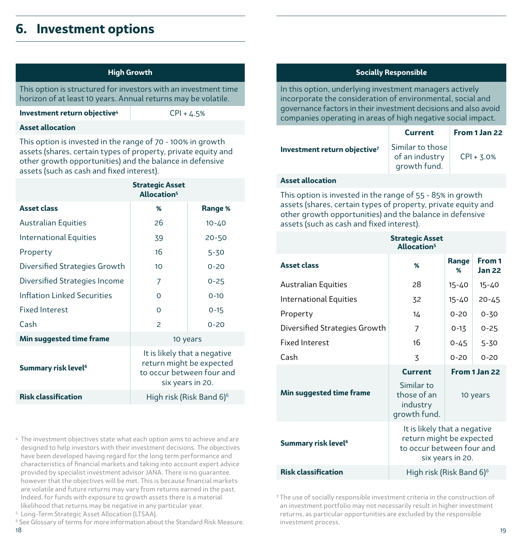### <span id="page-9-0"></span>**6. Investment options**

| High Growth |
|-------------|
|-------------|

This option is structured for investors with an investment time horizon of at least 10 years. Annual returns may be volatile.

**Investment return objective<sup>4</sup>** CPI + 4.5%

#### **Asset allocation**

This option is invested in the range of 70 - 100% in growth assets (shares, certain types of property, private equity and other growth opportunities) and the balance in defensive assets (such as cash and fixed interest).

| <b>Asset class</b><br>%<br>26<br>Australian Equities | Range %<br>$10 - 40$<br>$20 - 50$                                                                         |  |  |
|------------------------------------------------------|-----------------------------------------------------------------------------------------------------------|--|--|
|                                                      |                                                                                                           |  |  |
|                                                      |                                                                                                           |  |  |
| International Equities<br>39                         |                                                                                                           |  |  |
| 16<br>Property                                       | $5 - 30$                                                                                                  |  |  |
| Diversified Strategies Growth<br>10                  | $0 - 20$                                                                                                  |  |  |
| Diversified Strategies Income<br>7                   | $0 - 25$                                                                                                  |  |  |
| Inflation Linked Securities<br>$\Omega$              | $0 - 10$                                                                                                  |  |  |
| Fixed Interest<br>$\Omega$                           | $0 - 15$                                                                                                  |  |  |
| Cash<br>$\mathcal{P}$                                | $0 - 20$                                                                                                  |  |  |
| Min suggested time frame<br>10 years                 |                                                                                                           |  |  |
| Summary risk level <sup>6</sup>                      | It is likely that a negative<br>return might be expected<br>to occur between four and<br>six years in 20. |  |  |
| <b>Risk classification</b>                           | High risk (Risk Band 6) <sup>6</sup>                                                                      |  |  |

4 The investment objectives state what each option aims to achieve and are designed to help investors with their investment decisions. The objectives have been developed having regard for the long term performance and characteristics of financial markets and taking into account expert advice provided by specialist investment advisor JANA. There is no guarantee, however that the objectives will be met. This is because financial markets are volatile and future returns may vary from returns earned in the past. Indeed, for funds with exposure to growth assets there is a material likelihood that returns may be negative in any particular year.

5 Long-Term Strategic Asset Allocation (LTSAA).

18 19 <sup>6</sup> See Glossary of terms for more information about the Standard Risk Measure.

#### **Socially Responsible**

In this option, underlying investment managers actively incorporate the consideration of environmental, social and governance factors in their investment decisions and also avoid companies operating in areas of high negative social impact.

|                                          | <b>Current</b>                                     | From 1 Jan 22 |
|------------------------------------------|----------------------------------------------------|---------------|
| Investment return objective <sup>7</sup> | Similar to those<br>of an industry<br>growth fund. | $CPI + 3.0%$  |
|                                          |                                                    |               |

#### **Asset allocation**

This option is invested in the range of 55 - 85% in growth assets (shares, certain types of property, private equity and other growth opportunities) and the balance in defensive assets (such as cash and fixed interest).

|                                 | <b>Strategic Asset</b><br>Allocation <sup>5</sup>                                     |                  |                         |
|---------------------------------|---------------------------------------------------------------------------------------|------------------|-------------------------|
| <b>Asset class</b>              | %                                                                                     | Range<br>%       | From 1<br><b>Jan 22</b> |
| <b>Australian Equities</b>      | 28                                                                                    | $15 - 40$        | $15 - 40$               |
| International Equities          | 32                                                                                    | $15 - 40$        | $20 - 45$               |
| Property                        | 14                                                                                    | $0 - 20$         | $0 - 30$                |
| Diversified Strategies Growth   | 7                                                                                     | $0 - 13$         | $0 - 25$                |
| Fixed Interest                  | 16                                                                                    | $0 - 45$         | $5 - 30$                |
| Cash                            | 3                                                                                     | $0 - 20$         | $0 - 20$                |
|                                 | <b>Current</b><br>Similar <sub>to</sub>                                               |                  | From 1 Jan 22           |
| Min suggested time frame        | those of an<br>industry<br>growth fund.                                               | 10 years         |                         |
| Summary risk level <sup>6</sup> | It is likely that a negative<br>return might be expected<br>to occur between four and | six years in 20. |                         |
| <b>Risk classification</b>      | High risk (Risk Band 6) <sup>6</sup>                                                  |                  |                         |

<sup>7</sup> The use of socially responsible investment criteria in the construction of an investment portfolio may not necessarily result in higher investment returns, as particular opportunities are excluded by the responsible investment process.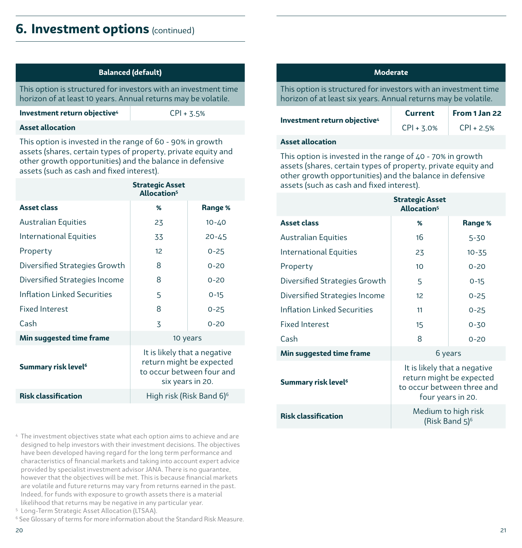### **6.** Investment options (continued)

| <b>Balanced (default)</b> |  |
|---------------------------|--|
|---------------------------|--|

This option is structured for investors with an investment time horizon of at least 10 years. Annual returns may be volatile.

**Investment return objective**<sup>4</sup> CPI + 3.5%

#### **Asset allocation**

This option is invested in the range of 60 - 90% in growth assets (shares, certain types of property, private equity and other growth opportunities) and the balance in defensive assets (such as cash and fixed interest).

| <b>Strategic Asset</b><br>Allocation <sup>5</sup>                                                         |           |
|-----------------------------------------------------------------------------------------------------------|-----------|
| %                                                                                                         | Range %   |
| 23                                                                                                        | $10 - 40$ |
| 33                                                                                                        | $20 - 45$ |
| 12                                                                                                        | $0 - 25$  |
| 8                                                                                                         | $0 - 20$  |
| 8                                                                                                         | $0 - 20$  |
| 5                                                                                                         | $0 - 15$  |
| 8                                                                                                         | $0 - 25$  |
| 3                                                                                                         | $0 - 20$  |
| Min suggested time frame<br>10 years                                                                      |           |
| It is likely that a negative<br>return might be expected<br>to occur between four and<br>six years in 20. |           |
| High risk (Risk Band 6) <sup>6</sup>                                                                      |           |
|                                                                                                           |           |

4 The investment objectives state what each option aims to achieve and are designed to help investors with their investment decisions. The objectives have been developed having regard for the long term performance and characteristics of financial markets and taking into account expert advice provided by specialist investment advisor JANA. There is no guarantee, however that the objectives will be met. This is because financial markets are volatile and future returns may vary from returns earned in the past. Indeed, for funds with exposure to growth assets there is a material likelihood that returns may be negative in any particular year.

5 Long-Term Strategic Asset Allocation (LTSAA).

<sup>6</sup> See Glossary of terms for more information about the Standard Risk Measure.

#### **Moderate**

This option is structured for investors with an investment time horizon of at least six years. Annual returns may be volatile.

|                                          | <b>Current</b> | From 1 Jan 22 |
|------------------------------------------|----------------|---------------|
| Investment return objective <sup>4</sup> | $CPI + 3.0%$   | $CPI + 2.5%$  |

#### **Asset allocation**

This option is invested in the range of 40 - 70% in growth assets (shares, certain types of property, private equity and other growth opportunities) and the balance in defensive assets (such as cash and fixed interest).

|                                    | <b>Strategic Asset</b><br>Allocation <sup>5</sup>                                                           |           |
|------------------------------------|-------------------------------------------------------------------------------------------------------------|-----------|
| <b>Asset class</b>                 | %                                                                                                           | Range %   |
| <b>Australian Equities</b>         | 16                                                                                                          | 5-30      |
| International Equities             | 23                                                                                                          | $10 - 35$ |
| Property                           | 10                                                                                                          | $0 - 20$  |
| Diversified Strategies Growth      | 5                                                                                                           | $0 - 15$  |
| Diversified Strategies Income      | 12                                                                                                          | $0 - 25$  |
| <b>Inflation Linked Securities</b> | 11                                                                                                          | $0 - 25$  |
| <b>Fixed Interest</b>              | 15                                                                                                          | $0 - 30$  |
| Cash                               | 8                                                                                                           | $0 - 20$  |
| Min suggested time frame           | 6 years                                                                                                     |           |
| Summary risk level <sup>6</sup>    | It is likely that a negative<br>return might be expected<br>to occur between three and<br>four years in 20. |           |
| <b>Risk classification</b>         | Medium to high risk<br>(Risk Band 5) <sup>6</sup>                                                           |           |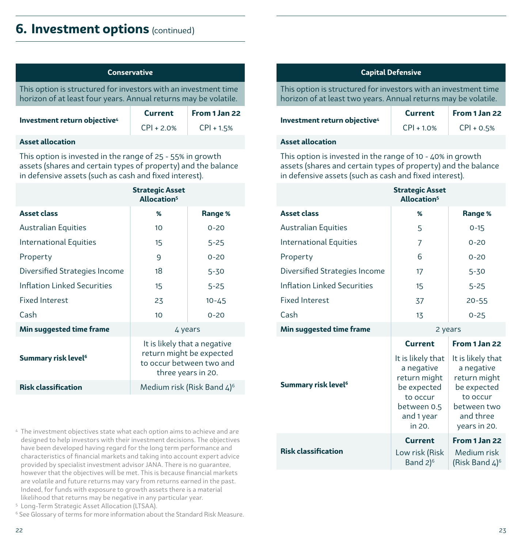### **6.** Investment options (continued)

| <b>Conservative</b>                                                                                                                |                |               |
|------------------------------------------------------------------------------------------------------------------------------------|----------------|---------------|
| This option is structured for investors with an investment time<br>horizon of at least four years. Annual returns may be volatile. |                |               |
|                                                                                                                                    | <b>Current</b> | From 1 Jan 22 |
| Investment return objective <sup>4</sup>                                                                                           | $CPI + 2.0%$   | $CPI + 1.5%$  |
| Accot allocation                                                                                                                   |                |               |

#### **Asset allocation**

This option is invested in the range of 25 - 55% in growth assets (shares and certain types of property) and the balance in defensive assets (such as cash and fixed interest).

|                                 | <b>Strategic Asset</b><br>Allocation <sup>5</sup>                                                          |           |
|---------------------------------|------------------------------------------------------------------------------------------------------------|-----------|
| <b>Asset class</b>              | %                                                                                                          | Range %   |
| <b>Australian Equities</b>      | 10                                                                                                         | $0 - 20$  |
| International Equities          | 15                                                                                                         | $5 - 25$  |
| Property                        | 9                                                                                                          | $0 - 20$  |
| Diversified Strategies Income   | 18                                                                                                         | $5 - 30$  |
| Inflation Linked Securities     | 15                                                                                                         | $5 - 25$  |
| <b>Fixed Interest</b>           | 23                                                                                                         | $10 - 45$ |
| Cash                            | 10                                                                                                         | $0 - 20$  |
| Min suggested time frame        | 4 years                                                                                                    |           |
| Summary risk level <sup>6</sup> | It is likely that a negative<br>return might be expected<br>to occur between two and<br>three years in 20. |           |
| <b>Risk classification</b>      | Medium risk (Risk Band $4$ ) <sup>6</sup>                                                                  |           |

4 The investment objectives state what each option aims to achieve and are designed to help investors with their investment decisions. The objectives have been developed having regard for the long term performance and characteristics of financial markets and taking into account expert advice provided by specialist investment advisor JANA. There is no guarantee, however that the objectives will be met. This is because financial markets are volatile and future returns may vary from returns earned in the past. Indeed, for funds with exposure to growth assets there is a material likelihood that returns may be negative in any particular year.

```
5
Long-Term Strategic Asset Allocation (LTSAA).
```
<sup>6</sup> See Glossary of terms for more information about the Standard Risk Measure.

#### **Capital Defensive**

This option is structured for investors with an investment time horizon of at least two years. Annual returns may be volatile.

| Investment return objective <sup>4</sup> | <b>Current</b> | From 1 Jan 22 |
|------------------------------------------|----------------|---------------|
|                                          | $CPI + 1.0%$   | $CPI + 0.5%$  |

#### **Asset allocation**

This option is invested in the range of 10 - 40% in growth assets (shares and certain types of property) and the balance in defensive assets (such as cash and fixed interest).

|                                    | <b>Strategic Asset</b><br>Allocation <sup>5</sup>                                                                 |                                                                                                                        |
|------------------------------------|-------------------------------------------------------------------------------------------------------------------|------------------------------------------------------------------------------------------------------------------------|
| <b>Asset class</b>                 | ℅                                                                                                                 | Range %                                                                                                                |
| Australian Equities                | 5                                                                                                                 | $0 - 15$                                                                                                               |
| International Equities             | 7                                                                                                                 | $0 - 20$                                                                                                               |
| Property                           | 6                                                                                                                 | $0 - 20$                                                                                                               |
| Diversified Strategies Income      | 17                                                                                                                | $5 - 30$                                                                                                               |
| <b>Inflation Linked Securities</b> | 15                                                                                                                | $5 - 25$                                                                                                               |
| <b>Fixed Interest</b>              | 37                                                                                                                | $20 - 55$                                                                                                              |
| Cash                               | 13                                                                                                                | $0 - 25$                                                                                                               |
| Min suggested time frame           | 2 years                                                                                                           |                                                                                                                        |
|                                    | <b>Current</b>                                                                                                    | From 1 Jan 22                                                                                                          |
| Summary risk level <sup>6</sup>    | It is likely that<br>a negative<br>return might<br>be expected<br>to occur<br>between 0.5<br>and 1 year<br>in 20. | It is likely that<br>a negative<br>return might<br>be expected<br>to occur<br>between two<br>and three<br>years in 20. |
|                                    |                                                                                                                   |                                                                                                                        |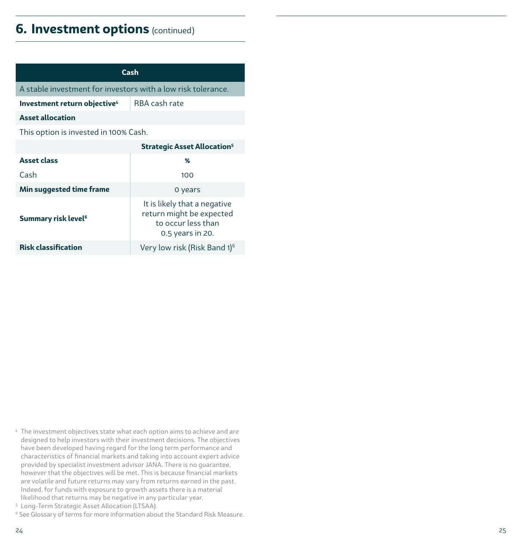### **6.** Investment options (continued)

| Cash                                                         |                                                                                                    |  |
|--------------------------------------------------------------|----------------------------------------------------------------------------------------------------|--|
| A stable investment for investors with a low risk tolerance. |                                                                                                    |  |
| Investment return objective <sup>4</sup>                     | RBA cash rate                                                                                      |  |
| <b>Asset allocation</b>                                      |                                                                                                    |  |
| This option is invested in 100% Cash.                        |                                                                                                    |  |
| <b>Strategic Asset Allocation</b> <sup>5</sup>               |                                                                                                    |  |
| <b>Asset class</b>                                           | %                                                                                                  |  |
| Cash                                                         | 100                                                                                                |  |
| Min suggested time frame                                     | 0 years                                                                                            |  |
| Summary risk level <sup>6</sup>                              | It is likely that a negative<br>return might be expected<br>to occur less than<br>0.5 years in 20. |  |
| <b>Risk classification</b>                                   | Very low risk (Risk Band 1) <sup>6</sup>                                                           |  |

- 4 The investment objectives state what each option aims to achieve and are designed to help investors with their investment decisions. The objectives have been developed having regard for the long term performance and characteristics of financial markets and taking into account expert advice provided by specialist investment advisor JANA. There is no guarantee, however that the objectives will be met. This is because financial markets are volatile and future returns may vary from returns earned in the past. Indeed, for funds with exposure to growth assets there is a material likelihood that returns may be negative in any particular year.
- 5 Long-Term Strategic Asset Allocation (LTSAA).
- <sup>6</sup> See Glossary of terms for more information about the Standard Risk Measure.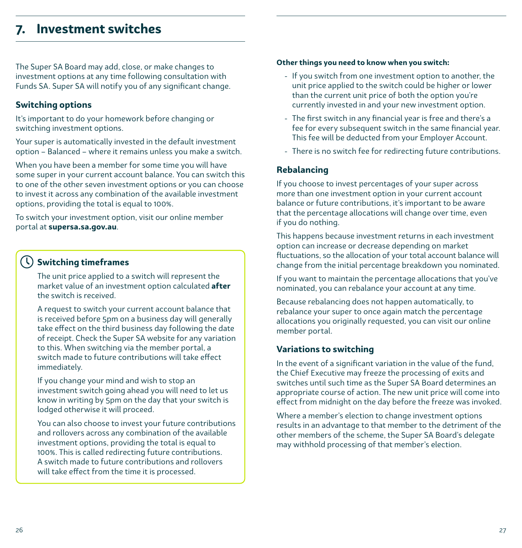### <span id="page-13-0"></span>**7. Investment switches**

The Super SA Board may add, close, or make changes to investment options at any time following consultation with Funds SA. Super SA will notify you of any significant change.

### **Switching options**

It's important to do your homework before changing or switching investment options.

Your super is automatically invested in the default investment option – Balanced – where it remains unless you make a switch.

When you have been a member for some time you will have some super in your current account balance. You can switch this to one of the other seven investment options or you can choose to invest it across any combination of the available investment options, providing the total is equal to 100%.

To switch your investment option, visit our online member portal at **supersa.sa.gov.au**.

### **Switching timeframes**

The unit price applied to a switch will represent the market value of an investment option calculated **after** the switch is received.

A request to switch your current account balance that is received before 5pm on a business day will generally take effect on the third business day following the date of receipt. Check the Super SA website for any variation to this. When switching via the member portal, a switch made to future contributions will take effect immediately.

If you change your mind and wish to stop an investment switch going ahead you will need to let us know in writing by 5pm on the day that your switch is lodged otherwise it will proceed.

You can also choose to invest your future contributions and rollovers across any combination of the available investment options, providing the total is equal to 100%. This is called redirecting future contributions. A switch made to future contributions and rollovers will take effect from the time it is processed.

#### **Other things you need to know when you switch:**

- If you switch from one investment option to another, the unit price applied to the switch could be higher or lower than the current unit price of both the option you're currently invested in and your new investment option.
- The first switch in any financial year is free and there's a fee for every subsequent switch in the same financial year. This fee will be deducted from your Employer Account.
- There is no switch fee for redirecting future contributions.

### **Rebalancing**

If you choose to invest percentages of your super across more than one investment option in your current account balance or future contributions, it's important to be aware that the percentage allocations will change over time, even if you do nothing.

This happens because investment returns in each investment option can increase or decrease depending on market fluctuations, so the allocation of your total account balance will change from the initial percentage breakdown you nominated.

If you want to maintain the percentage allocations that you've nominated, you can rebalance your account at any time.

Because rebalancing does not happen automatically, to rebalance your super to once again match the percentage allocations you originally requested, you can visit our online member portal.

#### **Variations to switching**

In the event of a significant variation in the value of the fund, the Chief Executive may freeze the processing of exits and switches until such time as the Super SA Board determines an appropriate course of action. The new unit price will come into effect from midnight on the day before the freeze was invoked.

Where a member's election to change investment options results in an advantage to that member to the detriment of the other members of the scheme, the Super SA Board's delegate may withhold processing of that member's election.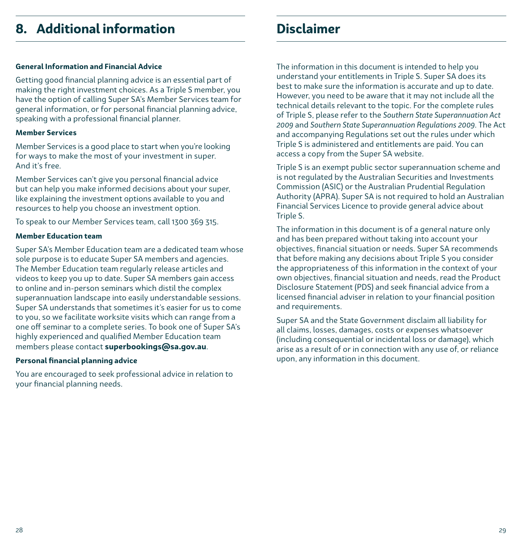## <span id="page-14-0"></span>**8. Additional information**

#### **General Information and Financial Advice**

Getting good financial planning advice is an essential part of making the right investment choices. As a Triple S member, you have the option of calling Super SA's Member Services team for general information, or for personal financial planning advice, speaking with a professional financial planner.

#### **Member Services**

Member Services is a good place to start when you're looking for ways to make the most of your investment in super. And it's free.

Member Services can't give you personal financial advice but can help you make informed decisions about your super, like explaining the investment options available to you and resources to help you choose an investment option.

To speak to our Member Services team, call 1300 369 315.

#### **Member Education team**

Super SA's Member Education team are a dedicated team whose sole purpose is to educate Super SA members and agencies. The Member Education team regularly release articles and videos to keep you up to date. Super SA members gain access to online and in-person seminars which distil the complex superannuation landscape into easily understandable sessions. Super SA understands that sometimes it's easier for us to come to you, so we facilitate worksite visits which can range from a one off seminar to a complete series. To book one of Super SA's highly experienced and qualified Member Education team members please contact **superbookings@sa.gov.au**.

#### **Personal financial planning advice**

You are encouraged to seek professional advice in relation to your financial planning needs.

# **Disclaimer**

The information in this document is intended to help you understand your entitlements in Triple S. Super SA does its best to make sure the information is accurate and up to date. However, you need to be aware that it may not include all the technical details relevant to the topic. For the complete rules of Triple S, please refer to the *Southern State Superannuation Act 2009* and *Southern State Superannuation Regulations 2009*. The Act and accompanying Regulations set out the rules under which Triple S is administered and entitlements are paid. You can access a copy from the Super SA website.

Triple S is an exempt public sector superannuation scheme and is not regulated by the Australian Securities and Investments Commission (ASIC) or the Australian Prudential Regulation Authority (APRA). Super SA is not required to hold an Australian Financial Services Licence to provide general advice about Triple S.

The information in this document is of a general nature only and has been prepared without taking into account your objectives, financial situation or needs. Super SA recommends that before making any decisions about Triple S you consider the appropriateness of this information in the context of your own objectives, financial situation and needs, read the Product Disclosure Statement (PDS) and seek financial advice from a licensed financial adviser in relation to your financial position and requirements.

Super SA and the State Government disclaim all liability for all claims, losses, damages, costs or expenses whatsoever (including consequential or incidental loss or damage), which arise as a result of or in connection with any use of, or reliance upon, any information in this document.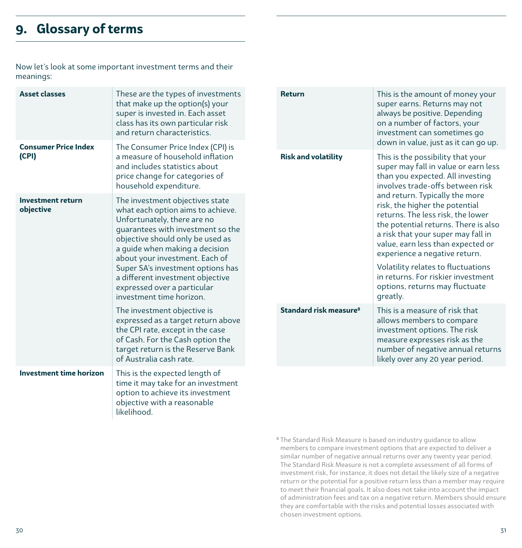# <span id="page-15-0"></span>**9. Glossary of terms**

Now let's look at some important investment terms and their meanings:

objective with a reasonable

likelihood.

| <b>Asset classes</b><br><b>Consumer Price Index</b> | These are the types of investments<br>that make up the option(s) your<br>super is invested in. Each asset<br>class has its own particular risk<br>and return characteristics.                                                                                                                                                                                                        |                            | <b>Return</b>                                                                                                                                     | This is the amount of money your<br>super earns. Returns may not<br>always be positive. Depending<br>on a number of factors, your<br>investment can sometimes go<br>down in value, just as it can go up.                                                                                                                                                                            |
|-----------------------------------------------------|--------------------------------------------------------------------------------------------------------------------------------------------------------------------------------------------------------------------------------------------------------------------------------------------------------------------------------------------------------------------------------------|----------------------------|---------------------------------------------------------------------------------------------------------------------------------------------------|-------------------------------------------------------------------------------------------------------------------------------------------------------------------------------------------------------------------------------------------------------------------------------------------------------------------------------------------------------------------------------------|
| (CPI)                                               | The Consumer Price Index (CPI) is<br>a measure of household inflation<br>and includes statistics about<br>price change for categories of<br>household expenditure.                                                                                                                                                                                                                   | <b>Risk and volatility</b> | This is the possibility that your<br>super may fall in value or earn less<br>than you expected. All investing<br>involves trade-offs between risk |                                                                                                                                                                                                                                                                                                                                                                                     |
| <b>Investment return</b><br>objective               | The investment objectives state<br>what each option aims to achieve.<br>Unfortunately, there are no<br>quarantees with investment so the<br>objective should only be used as<br>a guide when making a decision<br>about your investment. Each of<br>Super SA's investment options has<br>a different investment objective<br>expressed over a particular<br>investment time horizon. |                            |                                                                                                                                                   | and return. Typically the more<br>risk, the higher the potential<br>returns. The less risk, the lower<br>the potential returns. There is also<br>a risk that your super may fall in<br>value, earn less than expected or<br>experience a negative return.<br>Volatility relates to fluctuations<br>in returns. For riskier investment<br>options, returns may fluctuate<br>greatly. |
|                                                     | The investment objective is<br>expressed as a target return above<br>the CPI rate, except in the case<br>of Cash. For the Cash option the<br>target return is the Reserve Bank<br>of Australia cash rate.                                                                                                                                                                            |                            | Standard risk measure <sup>8</sup>                                                                                                                | This is a measure of risk that<br>allows members to compare<br>investment options. The risk<br>measure expresses risk as the<br>number of negative annual returns<br>likely over any 20 year period.                                                                                                                                                                                |
| <b>Investment time horizon</b>                      | This is the expected length of<br>time it may take for an investment<br>option to achieve its investment                                                                                                                                                                                                                                                                             |                            |                                                                                                                                                   |                                                                                                                                                                                                                                                                                                                                                                                     |

<sup>&</sup>lt;sup>8</sup> The Standard Risk Measure is based on industry guidance to allow members to compare investment options that are expected to deliver a similar number of negative annual returns over any twenty year period. The Standard Risk Measure is not a complete assessment of all forms of investment risk, for instance, it does not detail the likely size of a negative return or the potential for a positive return less than a member may require to meet their financial goals. It also does not take into account the impact of administration fees and tax on a negative return. Members should ensure they are comfortable with the risks and potential losses associated with chosen investment options.